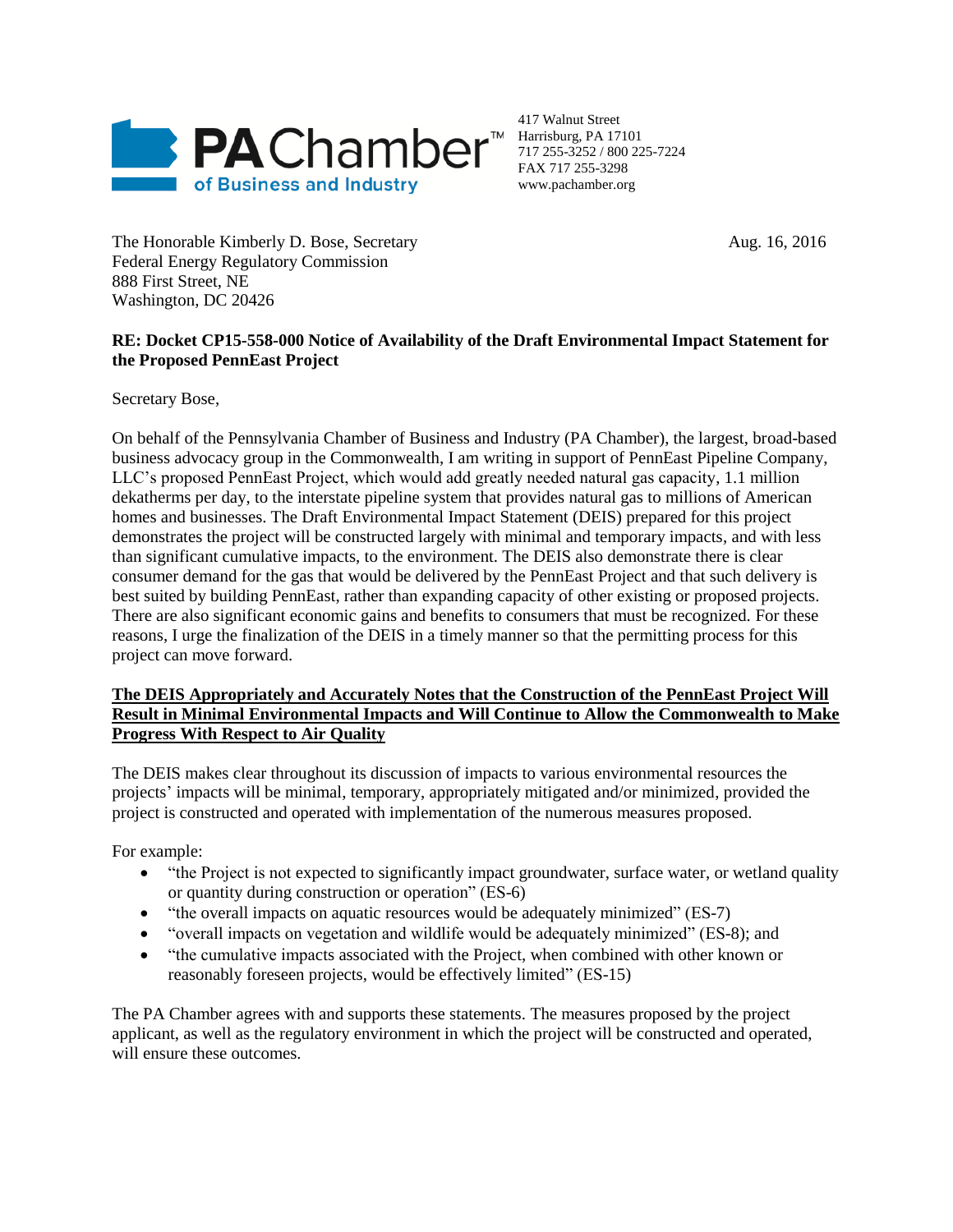

417 Walnut Street Harrisburg, PA 17101 717 255-3252 / 800 225-7224 FAX 717 255-3298 www.pachamber.org

The Honorable Kimberly D. Bose, Secretary Aug. 16, 2016 Federal Energy Regulatory Commission 888 First Street, NE Washington, DC 20426

## **RE: Docket CP15-558-000 Notice of Availability of the Draft Environmental Impact Statement for the Proposed PennEast Project**

Secretary Bose,

On behalf of the Pennsylvania Chamber of Business and Industry (PA Chamber), the largest, broad-based business advocacy group in the Commonwealth, I am writing in support of PennEast Pipeline Company, LLC's proposed PennEast Project, which would add greatly needed natural gas capacity, 1.1 million dekatherms per day, to the interstate pipeline system that provides natural gas to millions of American homes and businesses. The Draft Environmental Impact Statement (DEIS) prepared for this project demonstrates the project will be constructed largely with minimal and temporary impacts, and with less than significant cumulative impacts, to the environment. The DEIS also demonstrate there is clear consumer demand for the gas that would be delivered by the PennEast Project and that such delivery is best suited by building PennEast, rather than expanding capacity of other existing or proposed projects. There are also significant economic gains and benefits to consumers that must be recognized. For these reasons, I urge the finalization of the DEIS in a timely manner so that the permitting process for this project can move forward.

## **The DEIS Appropriately and Accurately Notes that the Construction of the PennEast Project Will Result in Minimal Environmental Impacts and Will Continue to Allow the Commonwealth to Make Progress With Respect to Air Quality**

The DEIS makes clear throughout its discussion of impacts to various environmental resources the projects' impacts will be minimal, temporary, appropriately mitigated and/or minimized, provided the project is constructed and operated with implementation of the numerous measures proposed.

For example:

- "the Project is not expected to significantly impact groundwater, surface water, or wetland quality or quantity during construction or operation" (ES-6)
- "the overall impacts on aquatic resources would be adequately minimized" (ES-7)
- "overall impacts on vegetation and wildlife would be adequately minimized" (ES-8); and
- "the cumulative impacts associated with the Project, when combined with other known or reasonably foreseen projects, would be effectively limited" (ES-15)

The PA Chamber agrees with and supports these statements. The measures proposed by the project applicant, as well as the regulatory environment in which the project will be constructed and operated, will ensure these outcomes.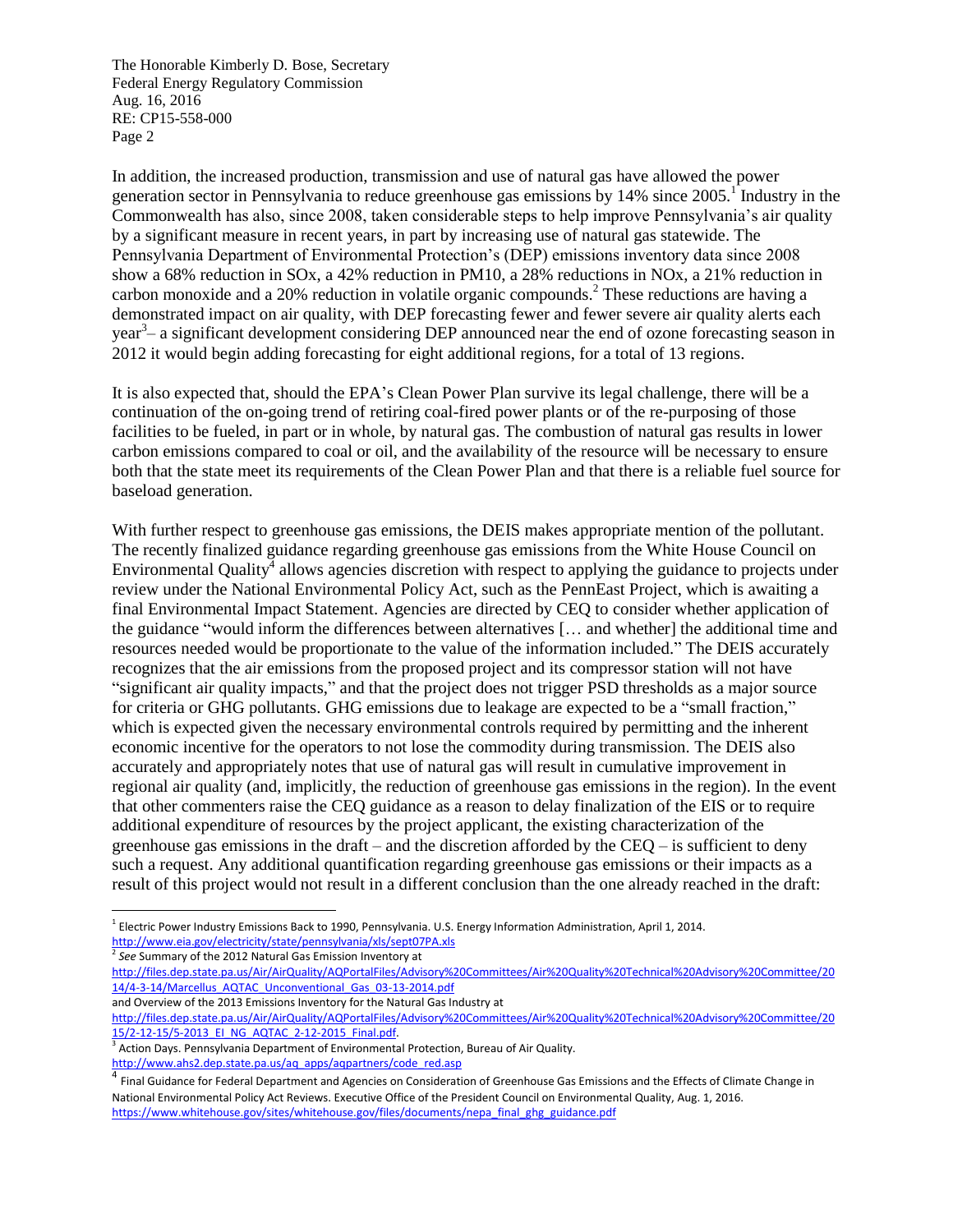In addition, the increased production, transmission and use of natural gas have allowed the power generation sector in Pennsylvania to reduce greenhouse gas emissions by 14% since 2005.<sup>1</sup> Industry in the Commonwealth has also, since 2008, taken considerable steps to help improve Pennsylvania's air quality by a significant measure in recent years, in part by increasing use of natural gas statewide. The Pennsylvania Department of Environmental Protection's (DEP) emissions inventory data since 2008 show a 68% reduction in SOx, a 42% reduction in PM10, a 28% reductions in NOx, a 21% reduction in carbon monoxide and a 20% reduction in volatile organic compounds. <sup>2</sup> These reductions are having a demonstrated impact on air quality, with DEP forecasting fewer and fewer severe air quality alerts each year<sup>3</sup> – a significant development considering DEP announced near the end of ozone forecasting season in 2012 it would begin adding forecasting for eight additional regions, for a total of 13 regions.

It is also expected that, should the EPA's Clean Power Plan survive its legal challenge, there will be a continuation of the on-going trend of retiring coal-fired power plants or of the re-purposing of those facilities to be fueled, in part or in whole, by natural gas. The combustion of natural gas results in lower carbon emissions compared to coal or oil, and the availability of the resource will be necessary to ensure both that the state meet its requirements of the Clean Power Plan and that there is a reliable fuel source for baseload generation.

With further respect to greenhouse gas emissions, the DEIS makes appropriate mention of the pollutant. The recently finalized guidance regarding greenhouse gas emissions from the White House Council on Environmental Quality<sup>4</sup> allows agencies discretion with respect to applying the guidance to projects under review under the National Environmental Policy Act, such as the PennEast Project, which is awaiting a final Environmental Impact Statement. Agencies are directed by CEQ to consider whether application of the guidance "would inform the differences between alternatives [… and whether] the additional time and resources needed would be proportionate to the value of the information included." The DEIS accurately recognizes that the air emissions from the proposed project and its compressor station will not have "significant air quality impacts," and that the project does not trigger PSD thresholds as a major source for criteria or GHG pollutants. GHG emissions due to leakage are expected to be a "small fraction," which is expected given the necessary environmental controls required by permitting and the inherent economic incentive for the operators to not lose the commodity during transmission. The DEIS also accurately and appropriately notes that use of natural gas will result in cumulative improvement in regional air quality (and, implicitly, the reduction of greenhouse gas emissions in the region). In the event that other commenters raise the CEQ guidance as a reason to delay finalization of the EIS or to require additional expenditure of resources by the project applicant, the existing characterization of the greenhouse gas emissions in the draft – and the discretion afforded by the  $CEO -$  is sufficient to deny such a request. Any additional quantification regarding greenhouse gas emissions or their impacts as a result of this project would not result in a different conclusion than the one already reached in the draft:

and Overview of the 2013 Emissions Inventory for the Natural Gas Industry at [http://files.dep.state.pa.us/Air/AirQuality/AQPortalFiles/Advisory%20Committees/Air%20Quality%20Technical%20Advisory%20Committee/20](http://files.dep.state.pa.us/Air/AirQuality/AQPortalFiles/Advisory%20Committees/Air%20Quality%20Technical%20Advisory%20Committee/2015/2-12-15/5-2013_EI_NG_AQTAC_2-12-2015_Final.pdf)

l <sup>1</sup> Electric Power Industry Emissions Back to 1990, Pennsylvania. U.S. Energy Information Administration, April 1, 2014. <http://www.eia.gov/electricity/state/pennsylvania/xls/sept07PA.xls>

<sup>2</sup> *See* Summary of the 2012 Natural Gas Emission Inventory at

[http://files.dep.state.pa.us/Air/AirQuality/AQPortalFiles/Advisory%20Committees/Air%20Quality%20Technical%20Advisory%20Committee/20](http://files.dep.state.pa.us/Air/AirQuality/AQPortalFiles/Advisory%20Committees/Air%20Quality%20Technical%20Advisory%20Committee/2014/4-3-14/Marcellus_AQTAC_Unconventional_Gas_03-13-2014.pdf) [14/4-3-14/Marcellus\\_AQTAC\\_Unconventional\\_Gas\\_03-13-2014.pdf](http://files.dep.state.pa.us/Air/AirQuality/AQPortalFiles/Advisory%20Committees/Air%20Quality%20Technical%20Advisory%20Committee/2014/4-3-14/Marcellus_AQTAC_Unconventional_Gas_03-13-2014.pdf)

<sup>15/2-12-15/5-2013</sup> EI NG AQTAC 2-12-2015 Final.pdf.<br><sup>3</sup> Action Days. Pennsylvania Department of Environmental Protection, Bureau of Air Quality. [http://www.ahs2.dep.state.pa.us/aq\\_apps/aqpartners/code\\_red.asp](http://www.ahs2.dep.state.pa.us/aq_apps/aqpartners/code_red.asp)

<sup>&</sup>lt;sup>4</sup> Final Guidance for Federal Department and Agencies on Consideration of Greenhouse Gas Emissions and the Effects of Climate Change in National Environmental Policy Act Reviews. Executive Office of the President Council on Environmental Quality, Aug. 1, 2016. [https://www.whitehouse.gov/sites/whitehouse.gov/files/documents/nepa\\_final\\_ghg\\_guidance.pdf](https://www.whitehouse.gov/sites/whitehouse.gov/files/documents/nepa_final_ghg_guidance.pdf)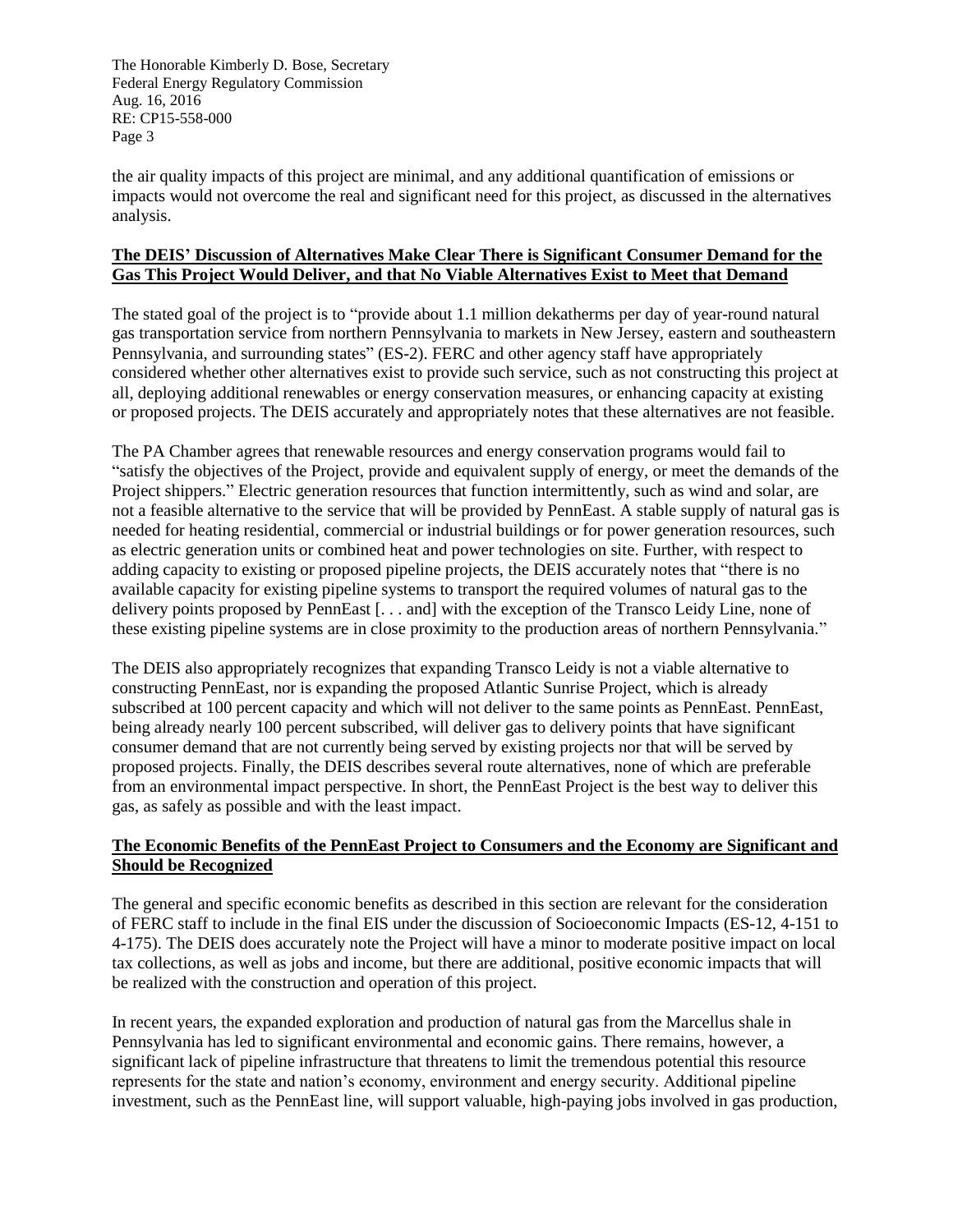the air quality impacts of this project are minimal, and any additional quantification of emissions or impacts would not overcome the real and significant need for this project, as discussed in the alternatives analysis.

## **The DEIS' Discussion of Alternatives Make Clear There is Significant Consumer Demand for the Gas This Project Would Deliver, and that No Viable Alternatives Exist to Meet that Demand**

The stated goal of the project is to "provide about 1.1 million dekatherms per day of year-round natural gas transportation service from northern Pennsylvania to markets in New Jersey, eastern and southeastern Pennsylvania, and surrounding states" (ES-2). FERC and other agency staff have appropriately considered whether other alternatives exist to provide such service, such as not constructing this project at all, deploying additional renewables or energy conservation measures, or enhancing capacity at existing or proposed projects. The DEIS accurately and appropriately notes that these alternatives are not feasible.

The PA Chamber agrees that renewable resources and energy conservation programs would fail to "satisfy the objectives of the Project, provide and equivalent supply of energy, or meet the demands of the Project shippers." Electric generation resources that function intermittently, such as wind and solar, are not a feasible alternative to the service that will be provided by PennEast. A stable supply of natural gas is needed for heating residential, commercial or industrial buildings or for power generation resources, such as electric generation units or combined heat and power technologies on site. Further, with respect to adding capacity to existing or proposed pipeline projects, the DEIS accurately notes that "there is no available capacity for existing pipeline systems to transport the required volumes of natural gas to the delivery points proposed by PennEast [. . . and] with the exception of the Transco Leidy Line, none of these existing pipeline systems are in close proximity to the production areas of northern Pennsylvania."

The DEIS also appropriately recognizes that expanding Transco Leidy is not a viable alternative to constructing PennEast, nor is expanding the proposed Atlantic Sunrise Project, which is already subscribed at 100 percent capacity and which will not deliver to the same points as PennEast. PennEast, being already nearly 100 percent subscribed, will deliver gas to delivery points that have significant consumer demand that are not currently being served by existing projects nor that will be served by proposed projects. Finally, the DEIS describes several route alternatives, none of which are preferable from an environmental impact perspective. In short, the PennEast Project is the best way to deliver this gas, as safely as possible and with the least impact.

## **The Economic Benefits of the PennEast Project to Consumers and the Economy are Significant and Should be Recognized**

The general and specific economic benefits as described in this section are relevant for the consideration of FERC staff to include in the final EIS under the discussion of Socioeconomic Impacts (ES-12, 4-151 to 4-175). The DEIS does accurately note the Project will have a minor to moderate positive impact on local tax collections, as well as jobs and income, but there are additional, positive economic impacts that will be realized with the construction and operation of this project.

In recent years, the expanded exploration and production of natural gas from the Marcellus shale in Pennsylvania has led to significant environmental and economic gains. There remains, however, a significant lack of pipeline infrastructure that threatens to limit the tremendous potential this resource represents for the state and nation's economy, environment and energy security. Additional pipeline investment, such as the PennEast line, will support valuable, high-paying jobs involved in gas production,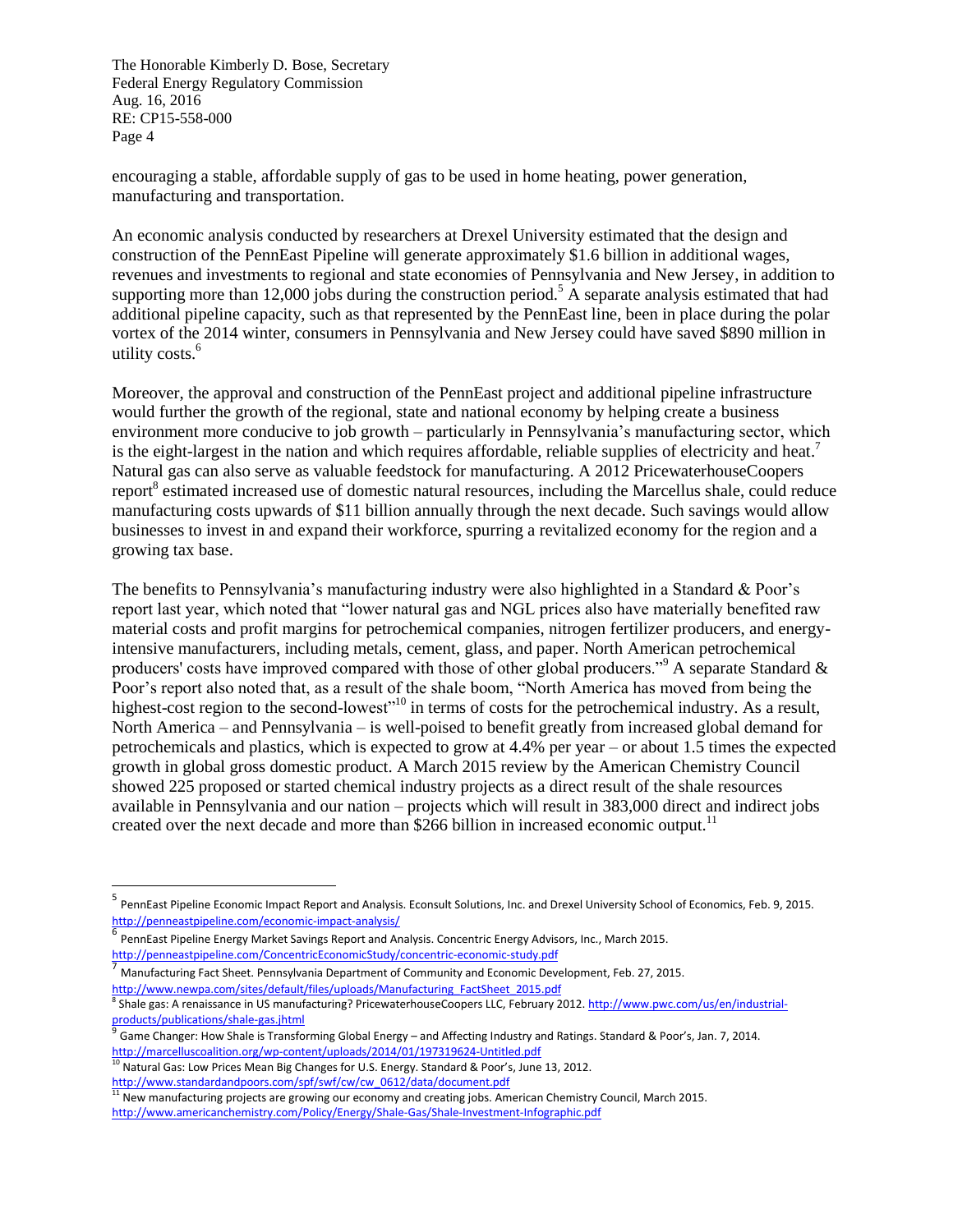encouraging a stable, affordable supply of gas to be used in home heating, power generation, manufacturing and transportation.

An economic analysis conducted by researchers at Drexel University estimated that the design and construction of the PennEast Pipeline will generate approximately \$1.6 billion in additional wages, revenues and investments to regional and state economies of Pennsylvania and New Jersey, in addition to supporting more than 12,000 jobs during the construction period.<sup>5</sup> A separate analysis estimated that had additional pipeline capacity, such as that represented by the PennEast line, been in place during the polar vortex of the 2014 winter, consumers in Pennsylvania and New Jersey could have saved \$890 million in utility costs.<sup>6</sup>

Moreover, the approval and construction of the PennEast project and additional pipeline infrastructure would further the growth of the regional, state and national economy by helping create a business environment more conducive to job growth – particularly in Pennsylvania's manufacturing sector, which is the eight-largest in the nation and which requires affordable, reliable supplies of electricity and heat.<sup>7</sup> Natural gas can also serve as valuable feedstock for manufacturing. A 2012 PricewaterhouseCoopers report<sup>8</sup> estimated increased use of domestic natural resources, including the Marcellus shale, could reduce manufacturing costs upwards of \$11 billion annually through the next decade. Such savings would allow businesses to invest in and expand their workforce, spurring a revitalized economy for the region and a growing tax base.

The benefits to Pennsylvania's manufacturing industry were also highlighted in a Standard & Poor's report last year, which noted that "lower natural gas and NGL prices also have materially benefited raw material costs and profit margins for petrochemical companies, nitrogen fertilizer producers, and energyintensive manufacturers, including metals, cement, glass, and paper. North American petrochemical producers' costs have improved compared with those of other global producers."<sup>9</sup> A separate Standard & Poor's report also noted that, as a result of the shale boom, "North America has moved from being the highest-cost region to the second-lowest<sup>"10</sup> in terms of costs for the petrochemical industry. As a result, North America – and Pennsylvania – is well-poised to benefit greatly from increased global demand for petrochemicals and plastics, which is expected to grow at 4.4% per year – or about 1.5 times the expected growth in global gross domestic product. A March 2015 review by the American Chemistry Council showed 225 proposed or started chemical industry projects as a direct result of the shale resources available in Pennsylvania and our nation – projects which will result in 383,000 direct and indirect jobs created over the next decade and more than \$266 billion in increased economic output.<sup>11</sup>

 $\overline{a}$ 

<sup>5</sup> PennEast Pipeline Economic Impact Report and Analysis. Econsult Solutions, Inc. and Drexel University School of Economics, Feb. 9, 2015. <http://penneastpipeline.com/economic-impact-analysis/>

<sup>&</sup>lt;sup>6</sup><br>PennEast Pipeline Energy Market Savings Report and Analysis. Concentric Energy Advisors, Inc., March 2015. <http://penneastpipeline.com/ConcentricEconomicStudy/concentric-economic-study.pdf>

<sup>7</sup> Manufacturing Fact Sheet. Pennsylvania Department of Community and Economic Development, Feb. 27, 2015. [http://www.newpa.com/sites/default/files/uploads/Manufacturing\\_FactSheet\\_2015.pdf](http://www.newpa.com/sites/default/files/uploads/Manufacturing_FactSheet_2015.pdf)

<sup>&</sup>lt;sup>8</sup> Shale gas: A renaissance in US manufacturing? PricewaterhouseCoopers LLC, February 2012. <u>http://www.pwc.com/us/en/industrial-</u> [products/publications/shale-gas.jhtml](http://www.pwc.com/us/en/industrial-products/publications/shale-gas.jhtml)<br>9<br>Come Changen Haw Shale is Transfe

Game Changer: How Shale is Transforming Global Energy – and Affecting Industry and Ratings. Standard & Poor's, Jan. 7, 2014. <http://marcelluscoalition.org/wp-content/uploads/2014/01/197319624-Untitled.pdf>

<sup>10</sup> Natural Gas: Low Prices Mean Big Changes for U.S. Energy. Standard & Poor's, June 13, 2012. [http://www.standardandpoors.com/spf/swf/cw/cw\\_0612/data/document.pdf](http://www.standardandpoors.com/spf/swf/cw/cw_0612/data/document.pdf)

 $11$  New manufacturing projects are growing our economy and creating jobs. American Chemistry Council, March 2015.

<http://www.americanchemistry.com/Policy/Energy/Shale-Gas/Shale-Investment-Infographic.pdf>